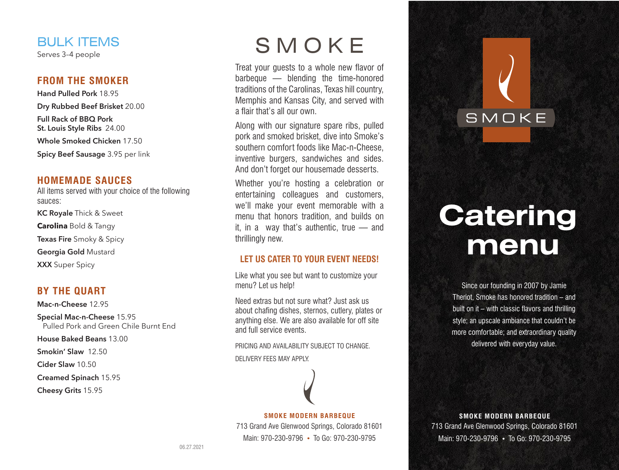# BULK ITEMS

Serves 3–4 people

### **FROM THE SMOKER**

**Hand Pulled Pork** 18.95 **Dry Rubbed Beef Brisket** 20.00 **Full Rack of BBQ Pork St. Louis Style Ribs** 24.00 **Whole Smoked Chicken** 17.50 **Spicy Beef Sausage** 3.95 per link

### **HOMEMADE SAUCES**

All items served with your choice of the following sauces: **KC Royale** Thick & Sweet **Carolina** Bold & Tangy

**Texas Fire** Smoky & Spicy

**Georgia Gold** Mustard

**XXX** Super Spicy

### **BY THE QUART**

**Mac-n-Cheese** 12.95 **Special Mac-n-Cheese** 15.95 Pulled Pork and Green Chile Burnt End **House Baked Beans** 13.00

**Smokin' Slaw** 12.50

**Cider Slaw** 10.50

**Creamed Spinach** 15.95

**Cheesy Grits** 15.95

# SMOKE

Treat your guests to a whole new flavor of barbeque — blending the time-honored traditions of the Carolinas, Texas hill country, Memphis and Kansas City, and served with a flair that's all our own.

Along with our signature spare ribs, pulled pork and smoked brisket, dive into Smoke's southern comfort foods like Mac-n-Cheese, inventive burgers, sandwiches and sides. And don't forget our housemade desserts.

Whether you're hosting a celebration or entertaining colleagues and customers, we'll make your event memorable with a menu that honors tradition, and builds on it, in a way that's authentic, true — and thrillingly new.

### **LET US CATER TO YOUR EVENT NEEDS!**

Like what you see but want to customize your menu? Let us help!

Need extras but not sure what? Just ask us about chafing dishes, sternos, cutlery, plates or anything else. We are also available for off site and full service events.

PRICING AND AVAILABILITY SUBJECT TO CHANGE. DELIVERY FEES MAY APPLY.

#### **SMOKE MODERN BARBEQUE** 713 Grand Ave Glenwood Springs, Colorado 81601 Main: 970-230-9796 **•** To Go: 970-230-9795

**Catering menu**

SMOKE

Since our founding in 2007 by Jamie Theriot, Smoke has honored tradition – and built on it – with classic flavors and thrilling style; an upscale ambiance that couldn't be more comfortable; and extraordinary quality delivered with everyday value.

**SMOKE MODERN BARBEQUE** 713 Grand Ave Glenwood Springs, Colorado 81601 Main: 970-230-9796 **•** To Go: 970-230-9795